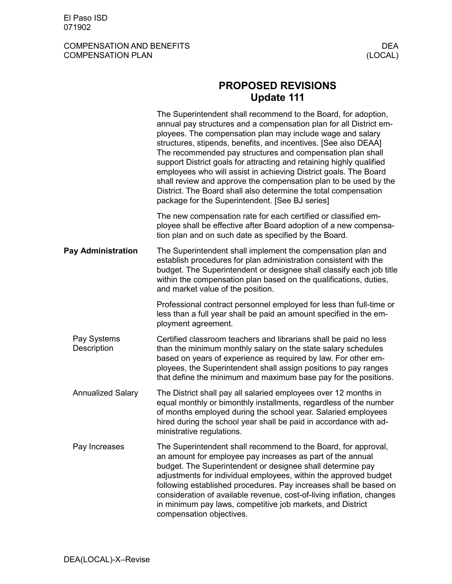## COMPENSATION AND BENEFITS DEA COMPENSATION PLAN

## **PROPOSED REVISIONS Update 111**

|                            | The Superintendent shall recommend to the Board, for adoption,<br>annual pay structures and a compensation plan for all District em-<br>ployees. The compensation plan may include wage and salary<br>structures, stipends, benefits, and incentives. [See also DEAA]<br>The recommended pay structures and compensation plan shall<br>support District goals for attracting and retaining highly qualified<br>employees who will assist in achieving District goals. The Board<br>shall review and approve the compensation plan to be used by the<br>District. The Board shall also determine the total compensation<br>package for the Superintendent. [See BJ series] |
|----------------------------|---------------------------------------------------------------------------------------------------------------------------------------------------------------------------------------------------------------------------------------------------------------------------------------------------------------------------------------------------------------------------------------------------------------------------------------------------------------------------------------------------------------------------------------------------------------------------------------------------------------------------------------------------------------------------|
|                            | The new compensation rate for each certified or classified em-<br>ployee shall be effective after Board adoption of a new compensa-<br>tion plan and on such date as specified by the Board.                                                                                                                                                                                                                                                                                                                                                                                                                                                                              |
| <b>Pay Administration</b>  | The Superintendent shall implement the compensation plan and<br>establish procedures for plan administration consistent with the<br>budget. The Superintendent or designee shall classify each job title<br>within the compensation plan based on the qualifications, duties,<br>and market value of the position.                                                                                                                                                                                                                                                                                                                                                        |
|                            | Professional contract personnel employed for less than full-time or<br>less than a full year shall be paid an amount specified in the em-<br>ployment agreement.                                                                                                                                                                                                                                                                                                                                                                                                                                                                                                          |
| Pay Systems<br>Description | Certified classroom teachers and librarians shall be paid no less<br>than the minimum monthly salary on the state salary schedules<br>based on years of experience as required by law. For other em-<br>ployees, the Superintendent shall assign positions to pay ranges<br>that define the minimum and maximum base pay for the positions.                                                                                                                                                                                                                                                                                                                               |
| <b>Annualized Salary</b>   | The District shall pay all salaried employees over 12 months in<br>equal monthly or bimonthly installments, regardless of the number<br>of months employed during the school year. Salaried employees<br>hired during the school year shall be paid in accordance with ad-<br>ministrative regulations.                                                                                                                                                                                                                                                                                                                                                                   |
| Pay Increases              | The Superintendent shall recommend to the Board, for approval,<br>an amount for employee pay increases as part of the annual<br>budget. The Superintendent or designee shall determine pay<br>adjustments for individual employees, within the approved budget<br>following established procedures. Pay increases shall be based on<br>consideration of available revenue, cost-of-living inflation, changes<br>in minimum pay laws, competitive job markets, and District<br>compensation objectives.                                                                                                                                                                    |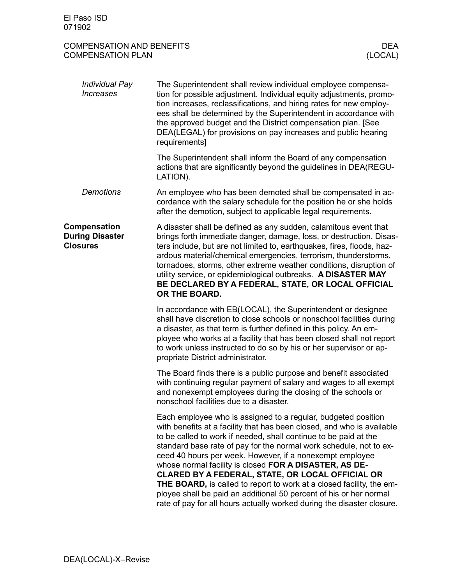| <b>COMPENSATION AND BENEFITS</b><br><b>COMPENSATION PLAN</b> |                                                                                                                                                                                                                                                                                                                                                                                                                                                                                                                                                                                                    | <b>DEA</b><br>(LOCAL) |
|--------------------------------------------------------------|----------------------------------------------------------------------------------------------------------------------------------------------------------------------------------------------------------------------------------------------------------------------------------------------------------------------------------------------------------------------------------------------------------------------------------------------------------------------------------------------------------------------------------------------------------------------------------------------------|-----------------------|
| Individual Pay<br><b>Increases</b>                           | The Superintendent shall review individual employee compensa-<br>tion for possible adjustment. Individual equity adjustments, promo-<br>tion increases, reclassifications, and hiring rates for new employ-<br>ees shall be determined by the Superintendent in accordance with<br>the approved budget and the District compensation plan. [See<br>DEA(LEGAL) for provisions on pay increases and public hearing<br>requirements]                                                                                                                                                                  |                       |
|                                                              | The Superintendent shall inform the Board of any compensation<br>actions that are significantly beyond the guidelines in DEA(REGU-<br>LATION).                                                                                                                                                                                                                                                                                                                                                                                                                                                     |                       |
| <b>Demotions</b>                                             | An employee who has been demoted shall be compensated in ac-<br>cordance with the salary schedule for the position he or she holds<br>after the demotion, subject to applicable legal requirements.                                                                                                                                                                                                                                                                                                                                                                                                |                       |
| Compensation<br><b>During Disaster</b><br><b>Closures</b>    | A disaster shall be defined as any sudden, calamitous event that<br>brings forth immediate danger, damage, loss, or destruction. Disas-<br>ters include, but are not limited to, earthquakes, fires, floods, haz-<br>ardous material/chemical emergencies, terrorism, thunderstorms,<br>tornadoes, storms, other extreme weather conditions, disruption of<br>utility service, or epidemiological outbreaks. A DISASTER MAY<br>BE DECLARED BY A FEDERAL, STATE, OR LOCAL OFFICIAL<br>OR THE BOARD.                                                                                                 |                       |
|                                                              | In accordance with EB(LOCAL), the Superintendent or designee<br>shall have discretion to close schools or nonschool facilities during<br>a disaster, as that term is further defined in this policy. An em-<br>ployee who works at a facility that has been closed shall not report<br>to work unless instructed to do so by his or her supervisor or ap-<br>propriate District administrator.                                                                                                                                                                                                     |                       |
|                                                              | The Board finds there is a public purpose and benefit associated<br>with continuing regular payment of salary and wages to all exempt<br>and nonexempt employees during the closing of the schools or<br>nonschool facilities due to a disaster.                                                                                                                                                                                                                                                                                                                                                   |                       |
|                                                              | Each employee who is assigned to a regular, budgeted position<br>with benefits at a facility that has been closed, and who is available<br>to be called to work if needed, shall continue to be paid at the<br>standard base rate of pay for the normal work schedule, not to ex-<br>ceed 40 hours per week. However, if a nonexempt employee<br>whose normal facility is closed FOR A DISASTER, AS DE-<br>CLARED BY A FEDERAL, STATE, OR LOCAL OFFICIAL OR<br>THE BOARD, is called to report to work at a closed facility, the em-<br>hall he noid an edditional EQ noroont of his or her normeal |                       |